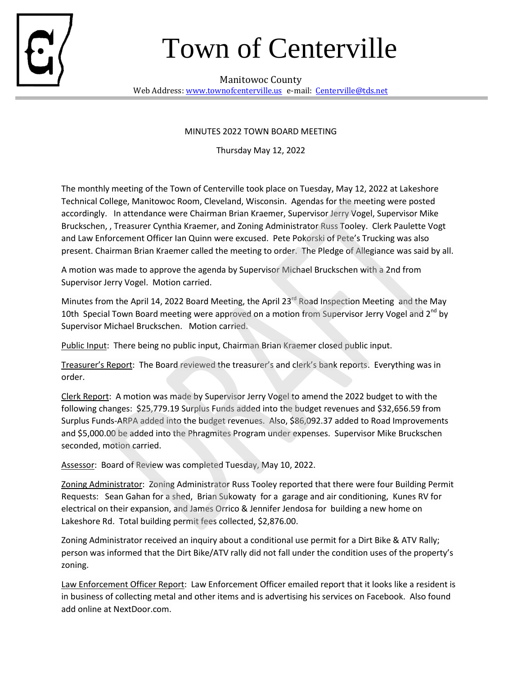

## Town of Centerville

Manitowoc County Web Address: www.townofcenterville.us e-mail: Centerville@tds.net

## MINUTES 2022 TOWN BOARD MEETING

Thursday May 12, 2022

The monthly meeting of the Town of Centerville took place on Tuesday, May 12, 2022 at Lakeshore Technical College, Manitowoc Room, Cleveland, Wisconsin. Agendas for the meeting were posted accordingly. In attendance were Chairman Brian Kraemer, Supervisor Jerry Vogel, Supervisor Mike Bruckschen, , Treasurer Cynthia Kraemer, and Zoning Administrator Russ Tooley. Clerk Paulette Vogt and Law Enforcement Officer Ian Quinn were excused. Pete Pokorski of Pete's Trucking was also present. Chairman Brian Kraemer called the meeting to order. The Pledge of Allegiance was said by all.

A motion was made to approve the agenda by Supervisor Michael Bruckschen with a 2nd from Supervisor Jerry Vogel. Motion carried.

Minutes from the April 14, 2022 Board Meeting, the April 23<sup>rd</sup> Road Inspection Meeting and the May 10th Special Town Board meeting were approved on a motion from Supervisor Jerry Vogel and  $2^{nd}$  by Supervisor Michael Bruckschen. Motion carried.

Public Input: There being no public input, Chairman Brian Kraemer closed public input.

Treasurer's Report: The Board reviewed the treasurer's and clerk's bank reports. Everything was in order.

Clerk Report: A motion was made by Supervisor Jerry Vogel to amend the 2022 budget to with the following changes: \$25,779.19 Surplus Funds added into the budget revenues and \$32,656.59 from Surplus Funds-ARPA added into the budget revenues. Also, \$86,092.37 added to Road Improvements and \$5,000.00 be added into the Phragmites Program under expenses. Supervisor Mike Bruckschen seconded, motion carried.

Assessor: Board of Review was completed Tuesday, May 10, 2022.

Zoning Administrator: Zoning Administrator Russ Tooley reported that there were four Building Permit Requests: Sean Gahan for a shed, Brian Sukowaty for a garage and air conditioning, Kunes RV for electrical on their expansion, and James Orrico & Jennifer Jendosa for building a new home on Lakeshore Rd. Total building permit fees collected, \$2,876.00.

Zoning Administrator received an inquiry about a conditional use permit for a Dirt Bike & ATV Rally; person was informed that the Dirt Bike/ATV rally did not fall under the condition uses of the property's zoning.

Law Enforcement Officer Report: Law Enforcement Officer emailed report that it looks like a resident is in business of collecting metal and other items and is advertising his services on Facebook. Also found add online at NextDoor.com.